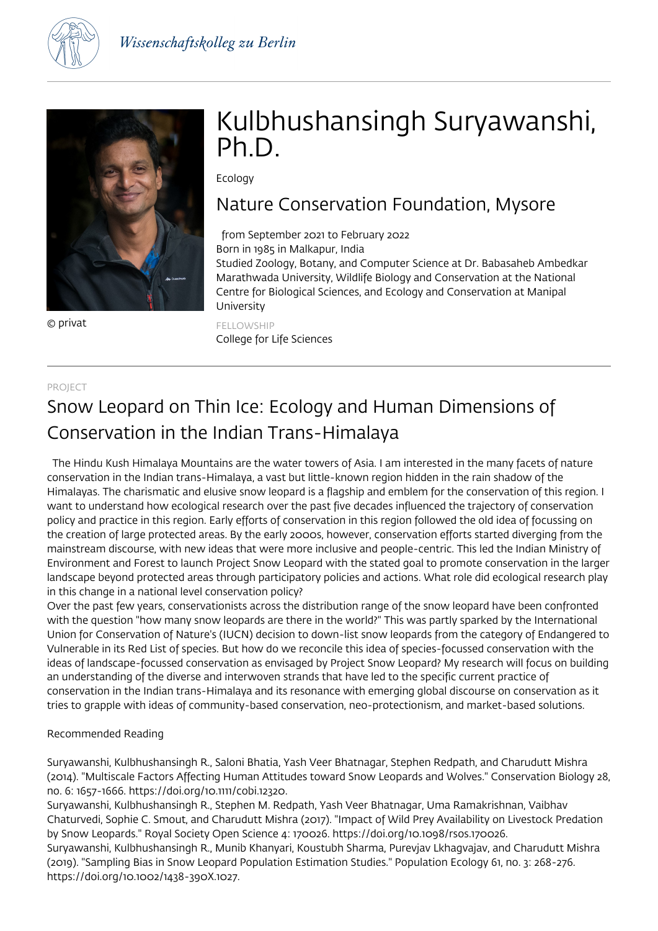



© privat

# Kulbhushansingh Suryawanshi, Ph.D.

Ecology

## Nature Conservation Foundation, Mysore

## from September 2021 to February 2022

Born in 1985 in Malkapur, India

Studied Zoology, Botany, and Computer Science at Dr. Babasaheb Ambedkar Marathwada University, Wildlife Biology and Conservation at the National Centre for Biological Sciences, and Ecology and Conservation at Manipal University

FELLOWSHIP College for Life Sciences

### PROJECT

# Snow Leopard on Thin Ice: Ecology and Human Dimensions of Conservation in the Indian Trans-Himalaya

 The Hindu Kush Himalaya Mountains are the water towers of Asia. I am interested in the many facets of nature conservation in the Indian trans-Himalaya, a vast but little-known region hidden in the rain shadow of the Himalayas. The charismatic and elusive snow leopard is a flagship and emblem for the conservation of this region. I want to understand how ecological research over the past five decades influenced the trajectory of conservation policy and practice in this region. Early efforts of conservation in this region followed the old idea of focussing on the creation of large protected areas. By the early 2000s, however, conservation efforts started diverging from the mainstream discourse, with new ideas that were more inclusive and people-centric. This led the Indian Ministry of Environment and Forest to launch Project Snow Leopard with the stated goal to promote conservation in the larger landscape beyond protected areas through participatory policies and actions. What role did ecological research play in this change in a national level conservation policy?

Over the past few years, conservationists across the distribution range of the snow leopard have been confronted with the question "how many snow leopards are there in the world?" This was partly sparked by the International Union for Conservation of Nature's (IUCN) decision to down-list snow leopards from the category of Endangered to Vulnerable in its Red List of species. But how do we reconcile this idea of species-focussed conservation with the ideas of landscape-focussed conservation as envisaged by Project Snow Leopard? My research will focus on building an understanding of the diverse and interwoven strands that have led to the specific current practice of conservation in the Indian trans-Himalaya and its resonance with emerging global discourse on conservation as it tries to grapple with ideas of community-based conservation, neo-protectionism, and market-based solutions.

### Recommended Reading

Suryawanshi, Kulbhushansingh R., Saloni Bhatia, Yash Veer Bhatnagar, Stephen Redpath, and Charudutt Mishra (2014). "Multiscale Factors Affecting Human Attitudes toward Snow Leopards and Wolves." Conservation Biology 28, no. 6: 1657-1666. https://doi.org/10.1111/cobi.12320.

Suryawanshi, Kulbhushansingh R., Stephen M. Redpath, Yash Veer Bhatnagar, Uma Ramakrishnan, Vaibhav Chaturvedi, Sophie C. Smout, and Charudutt Mishra (2017). "Impact of Wild Prey Availability on Livestock Predation by Snow Leopards." Royal Society Open Science 4: 170026. https://doi.org/10.1098/rsos.170026.

Suryawanshi, Kulbhushansingh R., Munib Khanyari, Koustubh Sharma, Purevjav Lkhagvajav, and Charudutt Mishra (2019). "Sampling Bias in Snow Leopard Population Estimation Studies." Population Ecology 61, no. 3: 268-276. https://doi.org/10.1002/1438-390X.1027.